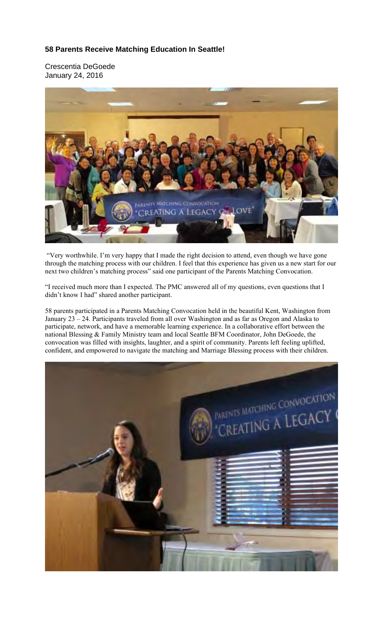## **58 Parents Receive Matching Education In Seattle!**

Crescentia DeGoede January 24, 2016



 "Very worthwhile. I'm very happy that I made the right decision to attend, even though we have gone through the matching process with our children. I feel that this experience has given us a new start for our next two children's matching process" said one participant of the Parents Matching Convocation.

"I received much more than I expected. The PMC answered all of my questions, even questions that I didn't know I had" shared another participant.

58 parents participated in a Parents Matching Convocation held in the beautiful Kent, Washington from January 23 – 24. Participants traveled from all over Washington and as far as Oregon and Alaska to participate, network, and have a memorable learning experience. In a collaborative effort between the national Blessing & Family Ministry team and local Seattle BFM Coordinator, John DeGoede, the convocation was filled with insights, laughter, and a spirit of community. Parents left feeling uplifted, confident, and empowered to navigate the matching and Marriage Blessing process with their children.

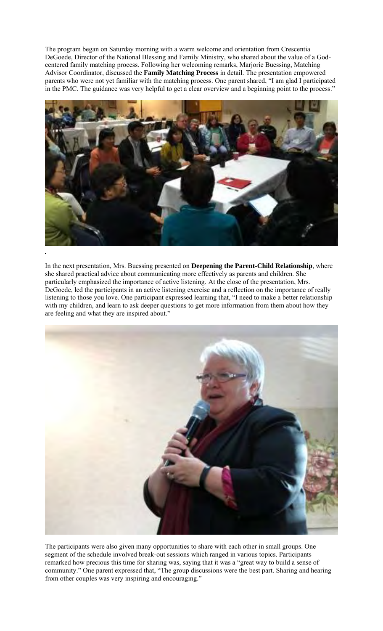The program began on Saturday morning with a warm welcome and orientation from Crescentia DeGoede, Director of the National Blessing and Family Ministry, who shared about the value of a Godcentered family matching process. Following her welcoming remarks, Marjorie Buessing, Matching Advisor Coordinator, discussed the **Family Matching Process** in detail. The presentation empowered parents who were not yet familiar with the matching process. One parent shared, "I am glad I participated in the PMC. The guidance was very helpful to get a clear overview and a beginning point to the process."



In the next presentation, Mrs. Buessing presented on **Deepening the Parent-Child Relationship**, where she shared practical advice about communicating more effectively as parents and children. She particularly emphasized the importance of active listening. At the close of the presentation, Mrs. DeGoede, led the participants in an active listening exercise and a reflection on the importance of really listening to those you love. One participant expressed learning that, "I need to make a better relationship with my children, and learn to ask deeper questions to get more information from them about how they are feeling and what they are inspired about."



The participants were also given many opportunities to share with each other in small groups. One segment of the schedule involved break-out sessions which ranged in various topics. Participants remarked how precious this time for sharing was, saying that it was a "great way to build a sense of community." One parent expressed that, "The group discussions were the best part. Sharing and hearing from other couples was very inspiring and encouraging."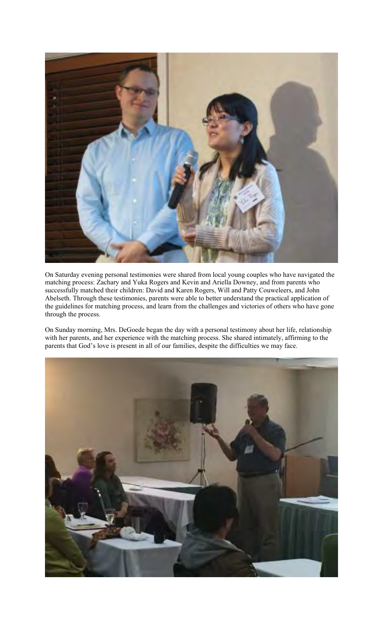

On Saturday evening personal testimonies were shared from local young couples who have navigated the matching process: Zachary and Yuka Rogers and Kevin and Ariella Downey, and from parents who successfully matched their children: David and Karen Rogers, Will and Patty Couweleers, and John Abelseth. Through these testimonies, parents were able to better understand the practical application of the guidelines for matching process, and learn from the challenges and victories of others who have gone through the process.

On Sunday morning, Mrs. DeGoede began the day with a personal testimony about her life, relationship with her parents, and her experience with the matching process. She shared intimately, affirming to the parents that God's love is present in all of our families, despite the difficulties we may face.